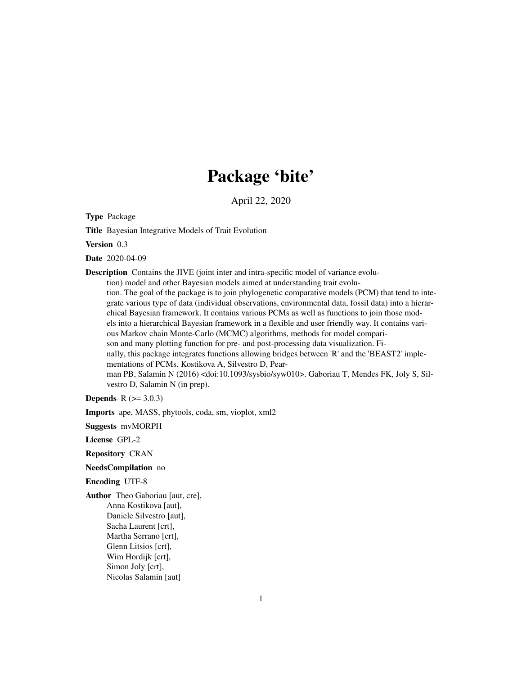## Package 'bite'

April 22, 2020

<span id="page-0-0"></span>Type Package

Title Bayesian Integrative Models of Trait Evolution

Version 0.3

Date 2020-04-09

Description Contains the JIVE (joint inter and intra-specific model of variance evolu-

tion) model and other Bayesian models aimed at understanding trait evolution. The goal of the package is to join phylogenetic comparative models (PCM) that tend to integrate various type of data (individual observations, environmental data, fossil data) into a hierarchical Bayesian framework. It contains various PCMs as well as functions to join those models into a hierarchical Bayesian framework in a flexible and user friendly way. It contains various Markov chain Monte-Carlo (MCMC) algorithms, methods for model comparison and many plotting function for pre- and post-processing data visualization. Finally, this package integrates functions allowing bridges between 'R' and the 'BEAST2' implementations of PCMs. Kostikova A, Silvestro D, Pearman PB, Salamin N (2016) <doi:10.1093/sysbio/syw010>. Gaboriau T, Mendes FK, Joly S, Silvestro D, Salamin N (in prep).

**Depends**  $R (= 3.0.3)$ 

Imports ape, MASS, phytools, coda, sm, vioplot, xml2

Suggests mvMORPH

License GPL-2

Repository CRAN

NeedsCompilation no

Encoding UTF-8

Author Theo Gaboriau [aut, cre], Anna Kostikova [aut], Daniele Silvestro [aut], Sacha Laurent [crt], Martha Serrano [crt], Glenn Litsios [crt], Wim Hordijk [crt], Simon Joly [crt], Nicolas Salamin [aut]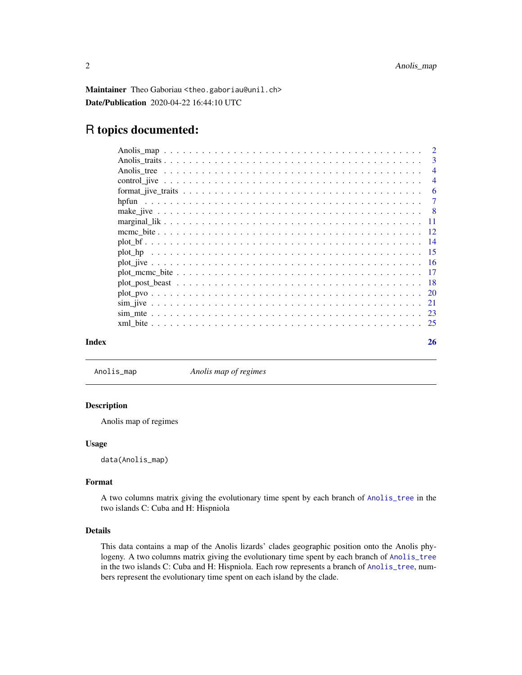<span id="page-1-0"></span>Maintainer Theo Gaboriau <theo.gaboriau@unil.ch> Date/Publication 2020-04-22 16:44:10 UTC

### R topics documented:

| Index |       | 26             |
|-------|-------|----------------|
|       |       |                |
|       |       |                |
|       |       |                |
|       |       |                |
|       |       |                |
|       |       |                |
|       |       |                |
|       |       |                |
|       |       |                |
|       |       |                |
|       |       |                |
|       |       | - 8            |
|       | hpfun | $\overline{7}$ |
|       |       | 6              |
|       |       | $\overline{4}$ |
|       |       | $\overline{4}$ |
|       |       | 3              |
|       |       | $\overline{2}$ |

Anolis\_map *Anolis map of regimes*

#### Description

Anolis map of regimes

#### Usage

data(Anolis\_map)

#### Format

A two columns matrix giving the evolutionary time spent by each branch of [Anolis\\_tree](#page-3-1) in the two islands C: Cuba and H: Hispniola

#### Details

This data contains a map of the Anolis lizards' clades geographic position onto the Anolis phylogeny. A two columns matrix giving the evolutionary time spent by each branch of [Anolis\\_tree](#page-3-1) in the two islands C: Cuba and H: Hispniola. Each row represents a branch of [Anolis\\_tree](#page-3-1), numbers represent the evolutionary time spent on each island by the clade.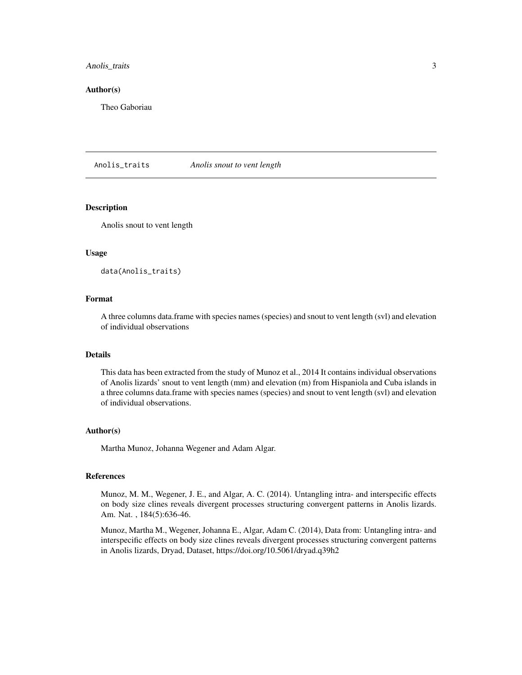#### <span id="page-2-0"></span>Anolis\_traits 3

#### Author(s)

Theo Gaboriau

Anolis\_traits *Anolis snout to vent length*

#### Description

Anolis snout to vent length

#### Usage

data(Anolis\_traits)

#### Format

A three columns data.frame with species names (species) and snout to vent length (svl) and elevation of individual observations

#### Details

This data has been extracted from the study of Munoz et al., 2014 It contains individual observations of Anolis lizards' snout to vent length (mm) and elevation (m) from Hispaniola and Cuba islands in a three columns data.frame with species names (species) and snout to vent length (svl) and elevation of individual observations.

#### Author(s)

Martha Munoz, Johanna Wegener and Adam Algar.

#### References

Munoz, M. M., Wegener, J. E., and Algar, A. C. (2014). Untangling intra- and interspecific effects on body size clines reveals divergent processes structuring convergent patterns in Anolis lizards. Am. Nat. , 184(5):636-46.

Munoz, Martha M., Wegener, Johanna E., Algar, Adam C. (2014), Data from: Untangling intra- and interspecific effects on body size clines reveals divergent processes structuring convergent patterns in Anolis lizards, Dryad, Dataset, https://doi.org/10.5061/dryad.q39h2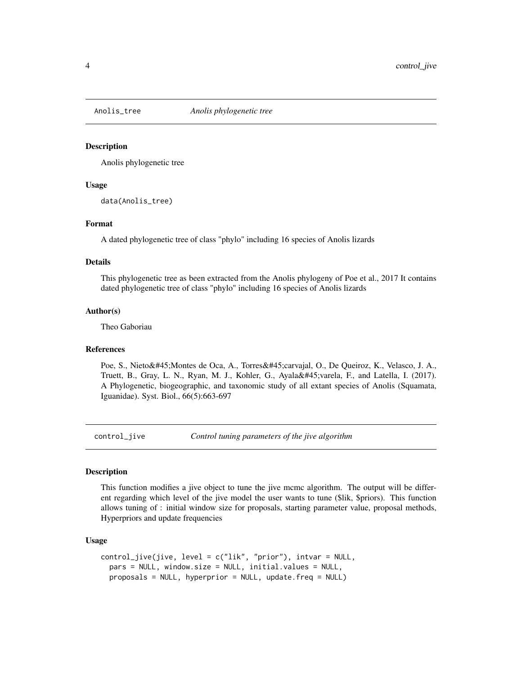<span id="page-3-1"></span><span id="page-3-0"></span>

#### Description

Anolis phylogenetic tree

#### Usage

data(Anolis\_tree)

#### Format

A dated phylogenetic tree of class "phylo" including 16 species of Anolis lizards

#### Details

This phylogenetic tree as been extracted from the Anolis phylogeny of Poe et al., 2017 It contains dated phylogenetic tree of class "phylo" including 16 species of Anolis lizards

#### Author(s)

Theo Gaboriau

#### References

Poe, S., Nieto-Montes de Oca, A., Torres-carvajal, O., De Queiroz, K., Velasco, J. A., Truett, B., Gray, L. N., Ryan, M. J., Kohler, G., Ayala-varela, F., and Latella, I. (2017). A Phylogenetic, biogeographic, and taxonomic study of all extant species of Anolis (Squamata, Iguanidae). Syst. Biol., 66(5):663-697

control\_jive *Control tuning parameters of the jive algorithm*

#### **Description**

This function modifies a jive object to tune the jive mcmc algorithm. The output will be different regarding which level of the jive model the user wants to tune (\$lik, \$priors). This function allows tuning of : initial window size for proposals, starting parameter value, proposal methods, Hyperpriors and update frequencies

#### Usage

```
control_jive(jive, level = c("lik", "prior"), intvar = NULL,
 pars = NULL, window.size = NULL, initial.values = NULL,
 proposals = NULL, hyperprior = NULL, update.freq = NULL)
```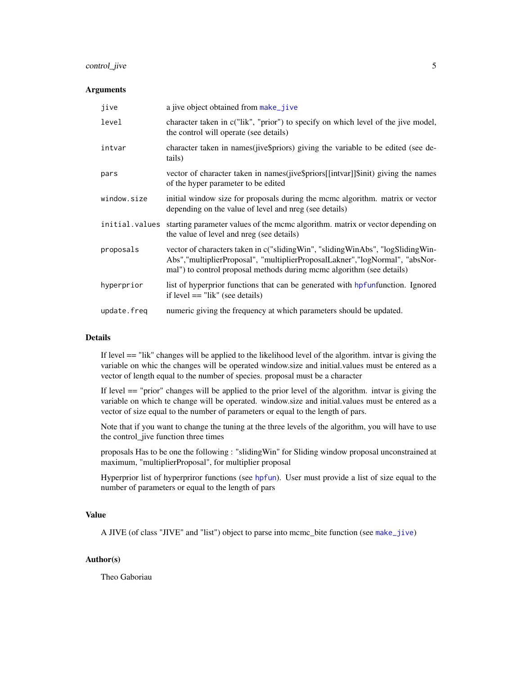#### <span id="page-4-0"></span>control\_jive 5

#### Arguments

| jive           | a jive object obtained from make_jive                                                                                                                                                                                                     |
|----------------|-------------------------------------------------------------------------------------------------------------------------------------------------------------------------------------------------------------------------------------------|
| level          | character taken in c("lik", "prior") to specify on which level of the jive model,<br>the control will operate (see details)                                                                                                               |
| intvar         | character taken in names (jive\$priors) giving the variable to be edited (see de-<br>tails)                                                                                                                                               |
| pars           | vector of character taken in names(jive\$priors[[intvar]]\$init) giving the names<br>of the hyper parameter to be edited                                                                                                                  |
| window.size    | initial window size for proposals during the meme algorithm. matrix or vector<br>depending on the value of level and nreg (see details)                                                                                                   |
| initial.values | starting parameter values of the mcmc algorithm, matrix or vector depending on<br>the value of level and nreg (see details)                                                                                                               |
| proposals      | vector of characters taken in c("sliding Win", "sliding WinAbs", "logSliding Win-<br>Abs","multiplierProposal", "multiplierProposalLakner","logNormal", "absNor-<br>mal") to control proposal methods during mcmc algorithm (see details) |
| hyperprior     | list of hyperprior functions that can be generated with hpfunfunction. Ignored<br>if level $==$ "lik" (see details)                                                                                                                       |
| update.freq    | numeric giving the frequency at which parameters should be updated.                                                                                                                                                                       |

#### Details

If level == "lik" changes will be applied to the likelihood level of the algorithm. intvar is giving the variable on whic the changes will be operated window.size and initial.values must be entered as a vector of length equal to the number of species. proposal must be a character

If level == "prior" changes will be applied to the prior level of the algorithm. intvar is giving the variable on which te change will be operated. window.size and initial.values must be entered as a vector of size equal to the number of parameters or equal to the length of pars.

Note that if you want to change the tuning at the three levels of the algorithm, you will have to use the control\_jive function three times

proposals Has to be one the following : "slidingWin" for Sliding window proposal unconstrained at maximum, "multiplierProposal", for multiplier proposal

Hyperprior list of hyperpriror functions (see [hpfun](#page-6-1)). User must provide a list of size equal to the number of parameters or equal to the length of pars

#### Value

A JIVE (of class "JIVE" and "list") object to parse into mcmc\_bite function (see [make\\_jive](#page-7-1))

#### Author(s)

Theo Gaboriau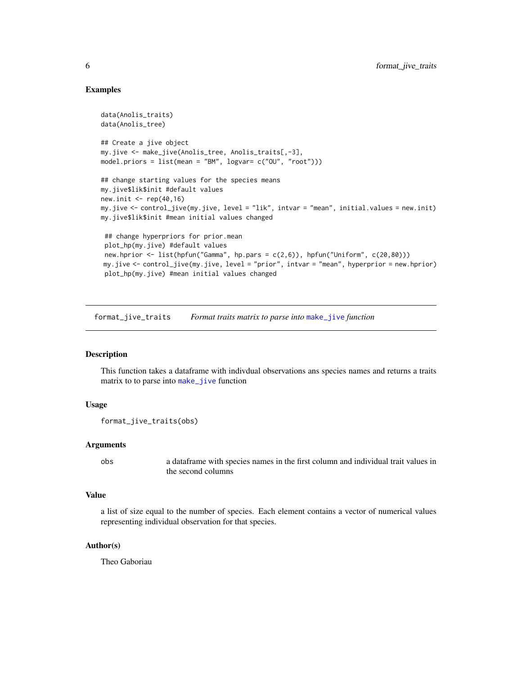#### Examples

```
data(Anolis_traits)
data(Anolis_tree)
## Create a jive object
my.jive <- make_jive(Anolis_tree, Anolis_traits[,-3],
model.priors = list(mean = "BM", logvar= c("OU", "root")))
## change starting values for the species means
my.jive$lik$init #default values
new.init \leq rep(40,16)
my.jive <- control_jive(my.jive, level = "lik", intvar = "mean", initial.values = new.init)
my.jive$lik$init #mean initial values changed
 ## change hyperpriors for prior.mean
plot_hp(my.jive) #default values
new.hprior <- list(hpfun("Gamma", hp.pars = c(2,6)), hpfun("Uniform", c(20,80)))
my.jive <- control_jive(my.jive, level = "prior", intvar = "mean", hyperprior = new.hprior)
plot_hp(my.jive) #mean initial values changed
```
format\_jive\_traits *Format traits matrix to parse into* [make\\_jive](#page-7-1) *function*

#### Description

This function takes a dataframe with indivdual observations ans species names and returns a traits matrix to to parse into [make\\_jive](#page-7-1) function

#### Usage

```
format_jive_traits(obs)
```
#### **Arguments**

obs a dataframe with species names in the first column and individual trait values in the second columns

#### Value

a list of size equal to the number of species. Each element contains a vector of numerical values representing individual observation for that species.

#### Author(s)

Theo Gaboriau

<span id="page-5-0"></span>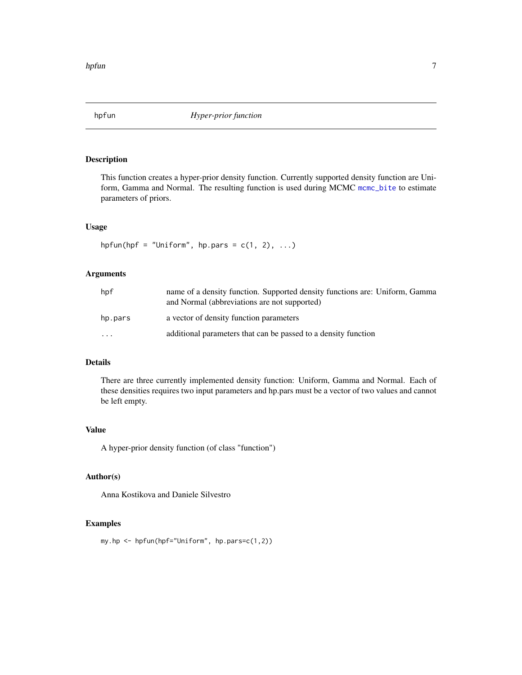<span id="page-6-1"></span><span id="page-6-0"></span>

#### Description

This function creates a hyper-prior density function. Currently supported density function are Uniform, Gamma and Normal. The resulting function is used during MCMC [mcmc\\_bite](#page-11-1) to estimate parameters of priors.

#### Usage

```
hpfun(hpf = "Uniform", hp.pars = c(1, 2), ...)
```
#### Arguments

| hpf       | name of a density function. Supported density functions are: Uniform, Gamma<br>and Normal (abbreviations are not supported) |
|-----------|-----------------------------------------------------------------------------------------------------------------------------|
| hp.pars   | a vector of density function parameters                                                                                     |
| $\ddotsc$ | additional parameters that can be passed to a density function                                                              |

#### Details

There are three currently implemented density function: Uniform, Gamma and Normal. Each of these densities requires two input parameters and hp.pars must be a vector of two values and cannot be left empty.

#### Value

A hyper-prior density function (of class "function")

#### Author(s)

Anna Kostikova and Daniele Silvestro

#### Examples

```
my.hp <- hpfun(hpf="Uniform", hp.pars=c(1,2))
```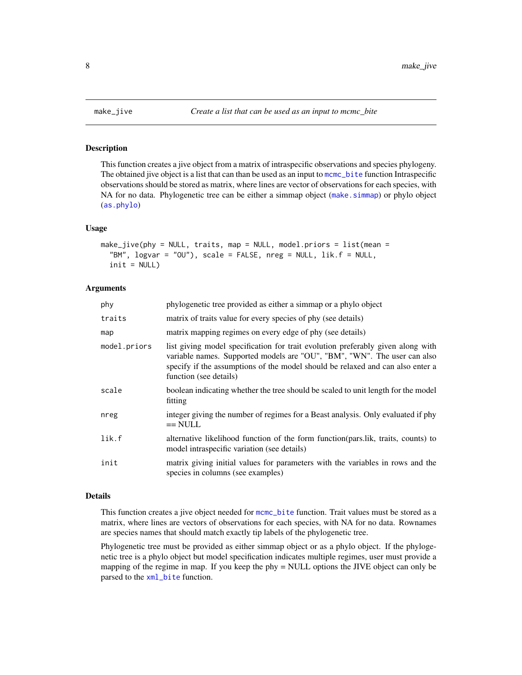<span id="page-7-1"></span><span id="page-7-0"></span>

#### Description

This function creates a jive object from a matrix of intraspecific observations and species phylogeny. The obtained jive object is a list that can than be used as an input to [mcmc\\_bite](#page-11-1) function Intraspecific observations should be stored as matrix, where lines are vector of observations for each species, with NA for no data. Phylogenetic tree can be either a simmap object ([make.simmap](#page-0-0)) or phylo object ([as.phylo](#page-0-0))

#### Usage

```
make_jive(phy = NULL, traits, map = NULL, model.priors = list(mean =
  "BM", logvar = "OU"), scale = FALSE, nreg = NULL, lik.f = NULL,
  init = NULL
```
#### **Arguments**

| phy          | phylogenetic tree provided as either a simmap or a phylo object                                                                                                                                                                                                         |
|--------------|-------------------------------------------------------------------------------------------------------------------------------------------------------------------------------------------------------------------------------------------------------------------------|
| traits       | matrix of traits value for every species of phy (see details)                                                                                                                                                                                                           |
| map          | matrix mapping regimes on every edge of phy (see details)                                                                                                                                                                                                               |
| model.priors | list giving model specification for trait evolution preferably given along with<br>variable names. Supported models are "OU", "BM", "WN". The user can also<br>specify if the assumptions of the model should be relaxed and can also enter a<br>function (see details) |
| scale        | boolean indicating whether the tree should be scaled to unit length for the model<br>fitting                                                                                                                                                                            |
| nreg         | integer giving the number of regimes for a Beast analysis. Only evaluated if phy<br>$==$ NULL                                                                                                                                                                           |
| lik.f        | alternative likelihood function of the form function(pars.lik, traits, counts) to<br>model intraspecific variation (see details)                                                                                                                                        |
| init         | matrix giving initial values for parameters with the variables in rows and the<br>species in columns (see examples)                                                                                                                                                     |

#### Details

This function creates a jive object needed for mome\_bite function. Trait values must be stored as a matrix, where lines are vectors of observations for each species, with NA for no data. Rownames are species names that should match exactly tip labels of the phylogenetic tree.

Phylogenetic tree must be provided as either simmap object or as a phylo object. If the phylogenetic tree is a phylo object but model specification indicates multiple regimes, user must provide a mapping of the regime in map. If you keep the phy = NULL options the JIVE object can only be parsed to the [xml\\_bite](#page-24-1) function.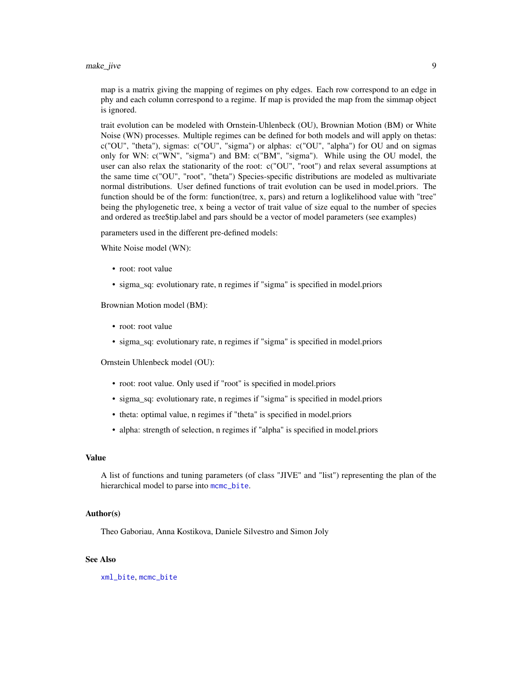<span id="page-8-0"></span>make\_jive 9

map is a matrix giving the mapping of regimes on phy edges. Each row correspond to an edge in phy and each column correspond to a regime. If map is provided the map from the simmap object is ignored.

trait evolution can be modeled with Ornstein-Uhlenbeck (OU), Brownian Motion (BM) or White Noise (WN) processes. Multiple regimes can be defined for both models and will apply on thetas: c("OU", "theta"), sigmas: c("OU", "sigma") or alphas: c("OU", "alpha") for OU and on sigmas only for WN: c("WN", "sigma") and BM: c("BM", "sigma"). While using the OU model, the user can also relax the stationarity of the root: c("OU", "root") and relax several assumptions at the same time c("OU", "root", "theta") Species-specific distributions are modeled as multivariate normal distributions. User defined functions of trait evolution can be used in model.priors. The function should be of the form: function(tree, x, pars) and return a loglikelihood value with "tree" being the phylogenetic tree, x being a vector of trait value of size equal to the number of species and ordered as tree\$tip.label and pars should be a vector of model parameters (see examples)

parameters used in the different pre-defined models:

White Noise model (WN):

- root: root value
- sigma\_sq: evolutionary rate, n regimes if "sigma" is specified in model.priors

Brownian Motion model (BM):

- root: root value
- sigma\_sq: evolutionary rate, n regimes if "sigma" is specified in model.priors

Ornstein Uhlenbeck model (OU):

- root: root value. Only used if "root" is specified in model.priors
- sigma\_sq: evolutionary rate, n regimes if "sigma" is specified in model.priors
- theta: optimal value, n regimes if "theta" is specified in model.priors
- alpha: strength of selection, n regimes if "alpha" is specified in model.priors

#### Value

A list of functions and tuning parameters (of class "JIVE" and "list") representing the plan of the hierarchical model to parse into [mcmc\\_bite](#page-11-1).

#### Author(s)

Theo Gaboriau, Anna Kostikova, Daniele Silvestro and Simon Joly

#### See Also

[xml\\_bite](#page-24-1), [mcmc\\_bite](#page-11-1)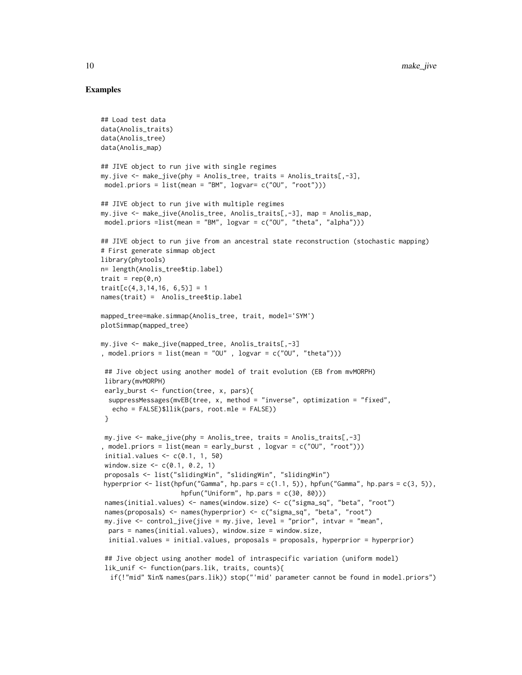#### Examples

```
## Load test data
data(Anolis_traits)
data(Anolis_tree)
data(Anolis_map)
## JIVE object to run jive with single regimes
my.jive <- make_jive(phy = Anolis_tree, traits = Anolis_traits[,-3],
model.priors = list(mean = "BM", logvar= c("OU", "root")))
## JIVE object to run jive with multiple regimes
my.jive <- make_jive(Anolis_tree, Anolis_traits[,-3], map = Anolis_map,
model.priors =list(mean = "BM", logvar = c("00", "theta", "alpha", "alpha")))
## JIVE object to run jive from an ancestral state reconstruction (stochastic mapping)
# First generate simmap object
library(phytools)
n= length(Anolis_tree$tip.label)
trait = rep(0, n)trait[c(4,3,14,16, 6,5)] = 1names(trait) = Anolis_tree$tip.label
mapped_tree=make.simmap(Anolis_tree, trait, model='SYM')
plotSimmap(mapped_tree)
my.jive <- make_jive(mapped_tree, Anolis_traits[,-3]
, model.priors = list(mean = "OU", logvar = c("0U", "theta"))
 ## Jive object using another model of trait evolution (EB from mvMORPH)
library(mvMORPH)
 early_burst <- function(tree, x, pars){
 suppressMessages(mvEB(tree, x, method = "inverse", optimization = "fixed",
   echo = FALSE)$llik(pars, root.mle = FALSE))
 }
my.jive <- make_jive(phy = Anolis_tree, traits = Anolis_traits[,-3]
, model.priors = list(mean = early_burst , logvar = c("OU", "root")))
initial.values \leq c(0.1, 1, 50)window.size \leq -c(0.1, 0.2, 1)proposals <- list("slidingWin", "slidingWin", "slidingWin")
hyperprior \leq list(hpfun("Gamma", hp.pars = c(1.1, 5)), hpfun("Gamma", hp.pars = c(3, 5)),
                     hpfun("Uniform", hp.pars = c(30, 80)))
 names(initial.values) <- names(window.size) <- c("sigma_sq", "beta", "root")
 names(proposals) <- names(hyperprior) <- c("sigma_sq", "beta", "root")
 my.jive <- control_jive(jive = my.jive, level = "prior", intvar = "mean",
 pars = names(initial.values), window.size = window.size,
 initial.values = initial.values, proposals = proposals, hyperprior = hyperprior)
 ## Jive object using another model of intraspecific variation (uniform model)
 lik_unif <- function(pars.lik, traits, counts){
  if(!"mid" %in% names(pars.lik)) stop("'mid' parameter cannot be found in model.priors")
```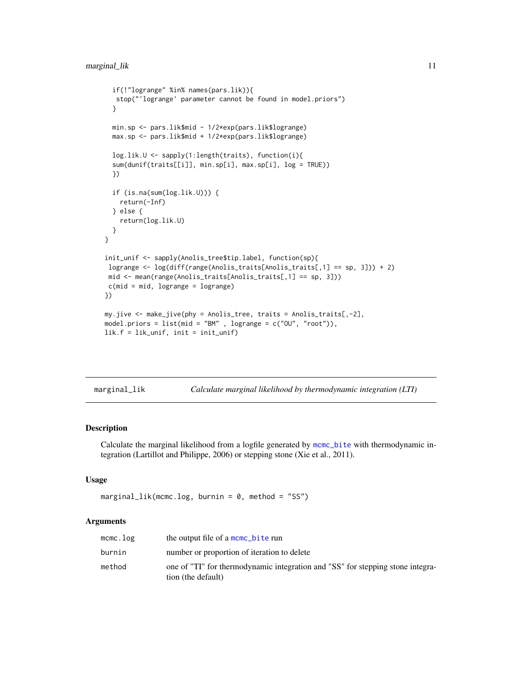```
if(!"logrange" %in% names(pars.lik)){
  stop("'logrange' parameter cannot be found in model.priors")
  }
  min.sp <- pars.lik$mid - 1/2*exp(pars.lik$logrange)
  max.sp <- pars.lik$mid + 1/2*exp(pars.lik$logrange)
  log.lik.U <- sapply(1:length(traits), function(i){
  sum(dunif(traits[[i]], min.sp[i], max.sp[i], log = TRUE))
  })
  if (is.na(sum(log.lik.U))) {
    return(-Inf)
  } else {
    return(log.lik.U)
  }
}
init_unif <- sapply(Anolis_tree$tip.label, function(sp){
logrange <- log(diff(range(Anolis_traits[Anolis_traits[,1] == sp, 3])) + 2)
mid <- mean(range(Anolis_traits[Anolis_traits[,1] == sp, 3]))
c(mid = mid, logrange = logrange)})
my.jive <- make_jive(phy = Anolis_tree, traits = Anolis_traits[,-2],
model.priors = list(mid = "BM" , logrange = c("OU", "root")),
lik.f = lik_unif, init = init_unif)
```

| marginal_lik | Calculate marginal likelihood by thermodynamic integration (LTI) |  |  |  |
|--------------|------------------------------------------------------------------|--|--|--|
|              |                                                                  |  |  |  |

#### Description

Calculate the marginal likelihood from a logfile generated by [mcmc\\_bite](#page-11-1) with thermodynamic integration (Lartillot and Philippe, 2006) or stepping stone (Xie et al., 2011).

#### Usage

```
marginal\_lik(mcmc.log, burnin = 0, method = "SS")
```
#### Arguments

| mcmc.log | the output file of a mcmc_bite run                                                                   |
|----------|------------------------------------------------------------------------------------------------------|
| burnin   | number or proportion of iteration to delete                                                          |
| method   | one of "TI" for thermodynamic integration and "SS" for stepping stone integra-<br>tion (the default) |
|          |                                                                                                      |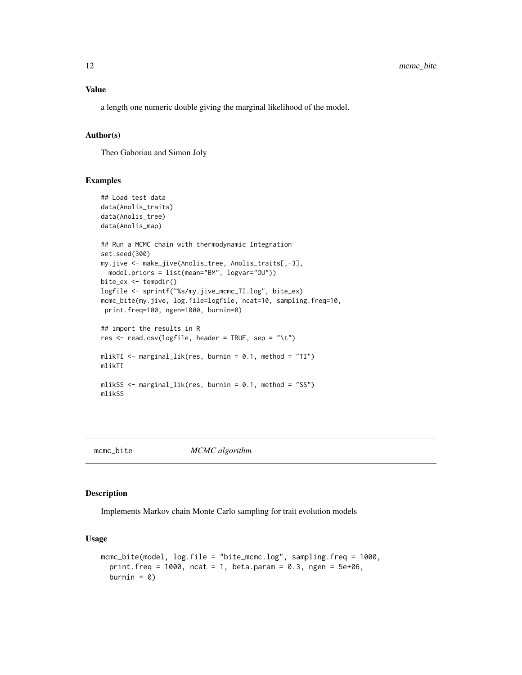a length one numeric double giving the marginal likelihood of the model.

#### Author(s)

Theo Gaboriau and Simon Joly

#### Examples

```
## Load test data
data(Anolis_traits)
data(Anolis_tree)
data(Anolis_map)
## Run a MCMC chain with thermodynamic Integration
set.seed(300)
my.jive <- make_jive(Anolis_tree, Anolis_traits[,-3],
 model.priors = list(mean="BM", logvar="OU"))
bite_ex <- tempdir()
logfile <- sprintf("%s/my.jive_mcmc_TI.log", bite_ex)
mcmc_bite(my.jive, log.file=logfile, ncat=10, sampling.freq=10,
print.freq=100, ngen=1000, burnin=0)
## import the results in R
res \leq read.csv(logfile, header = TRUE, sep = "\t")
mlikTI \le marginal_lik(res, burnin = 0.1, method = "TI")
mlikTI
mlikSS <- marginal_lik(res, burnin = 0.1, method = "SS")
mlikSS
```
<span id="page-11-1"></span>mcmc\_bite *MCMC algorithm*

#### Description

Implements Markov chain Monte Carlo sampling for trait evolution models

#### Usage

```
mcmc_bite(model, log.file = "bite_mcmc.log", sampling.freq = 1000,
 print.freq = 1000, ncat = 1, beta.param = 0.3, ngen = 5e+06,
 burnin = 0)
```
<span id="page-11-0"></span>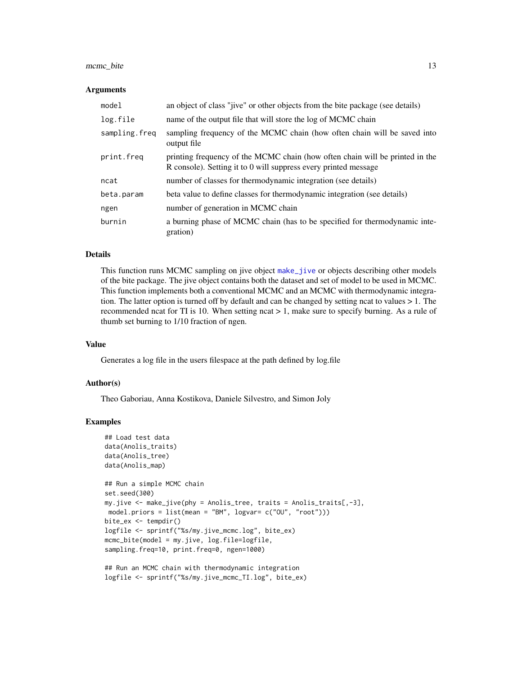#### <span id="page-12-0"></span>mcmc\_bite 13

#### Arguments

| model         | an object of class "jive" or other objects from the bite package (see details)                                                                  |
|---------------|-------------------------------------------------------------------------------------------------------------------------------------------------|
| log.file      | name of the output file that will store the log of MCMC chain                                                                                   |
| sampling.freq | sampling frequency of the MCMC chain (how often chain will be saved into<br>output file                                                         |
| print.freq    | printing frequency of the MCMC chain (how often chain will be printed in the<br>R console). Setting it to 0 will suppress every printed message |
| ncat          | number of classes for thermodynamic integration (see details)                                                                                   |
| beta.param    | beta value to define classes for thermodynamic integration (see details)                                                                        |
| ngen          | number of generation in MCMC chain                                                                                                              |
| burnin        | a burning phase of MCMC chain (has to be specified for thermodynamic inte-<br>gration)                                                          |

#### Details

This function runs MCMC sampling on jive object [make\\_jive](#page-7-1) or objects describing other models of the bite package. The jive object contains both the dataset and set of model to be used in MCMC. This function implements both a conventional MCMC and an MCMC with thermodynamic integration. The latter option is turned off by default and can be changed by setting ncat to values  $> 1$ . The recommended ncat for TI is 10. When setting ncat > 1, make sure to specify burning. As a rule of thumb set burning to 1/10 fraction of ngen.

#### Value

Generates a log file in the users filespace at the path defined by log.file

#### Author(s)

Theo Gaboriau, Anna Kostikova, Daniele Silvestro, and Simon Joly

#### Examples

```
## Load test data
data(Anolis_traits)
data(Anolis_tree)
data(Anolis_map)
## Run a simple MCMC chain
set.seed(300)
my.jive <- make_jive(phy = Anolis_tree, traits = Anolis_traits[,-3],
model.priors = list(mean = "BM", logvar= c("OU", "root")))
bite_ex <- tempdir()
logfile <- sprintf("%s/my.jive_mcmc.log", bite_ex)
mcmc_bite(model = my.jive, log.file=logfile,
sampling.freq=10, print.freq=0, ngen=1000)
```

```
## Run an MCMC chain with thermodynamic integration
logfile <- sprintf("%s/my.jive_mcmc_TI.log", bite_ex)
```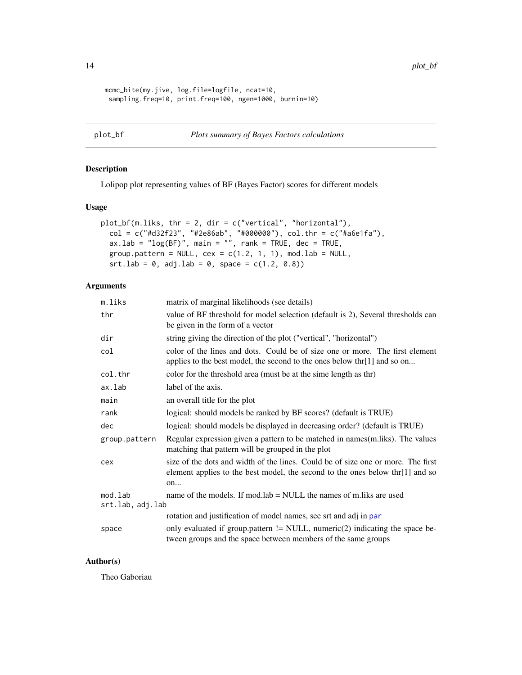```
mcmc_bite(my.jive, log.file=logfile, ncat=10,
 sampling.freq=10, print.freq=100, ngen=1000, burnin=10)
```

```
plot_bf Plots summary of Bayes Factors calculations
```
#### Description

Lolipop plot representing values of BF (Bayes Factor) scores for different models

#### Usage

```
plot_bf(m.liks, thr = 2, dir = c("vertical", "horizontal"),
  col = c("#d32f23", "#2e86ab", "#000000"), col.thr = c("#a6e1fa"),
  ax.lab = "log(BF)", main = "", rank = TRUE, dec = TRUE,
 group.pattern = NULL, cex = c(1.2, 1, 1), mod.lab = NULL,
  srt.lab = 0, adj.lab = 0, space = c(1.2, 0.8)
```
#### Arguments

| m.liks                      | matrix of marginal likelihoods (see details)                                                                                                                            |
|-----------------------------|-------------------------------------------------------------------------------------------------------------------------------------------------------------------------|
| thr                         | value of BF threshold for model selection (default is 2), Several thresholds can<br>be given in the form of a vector                                                    |
| dir                         | string giving the direction of the plot ("vertical", "horizontal")                                                                                                      |
| col                         | color of the lines and dots. Could be of size one or more. The first element<br>applies to the best model, the second to the ones below thr[1] and so on                |
| col.thr                     | color for the threshold area (must be at the sime length as thr)                                                                                                        |
| ax.lab                      | label of the axis.                                                                                                                                                      |
| main                        | an overall title for the plot                                                                                                                                           |
| rank                        | logical: should models be ranked by BF scores? (default is TRUE)                                                                                                        |
| dec                         | logical: should models be displayed in decreasing order? (default is TRUE)                                                                                              |
| group.pattern               | Regular expression given a pattern to be matched in names(m.liks). The values<br>matching that pattern will be grouped in the plot                                      |
| cex                         | size of the dots and width of the lines. Could be of size one or more. The first<br>element applies to the best model, the second to the ones below thr[1] and so<br>on |
| mod.lab<br>srt.lab, adj.lab | name of the models. If mod.lab $=$ NULL the names of m.liks are used                                                                                                    |
|                             | rotation and justification of model names, see srt and adj in par                                                                                                       |
| space                       | only evaluated if group.pattern $!=$ NULL, numeric(2) indicating the space be-<br>tween groups and the space between members of the same groups                         |

#### Author(s)

Theo Gaboriau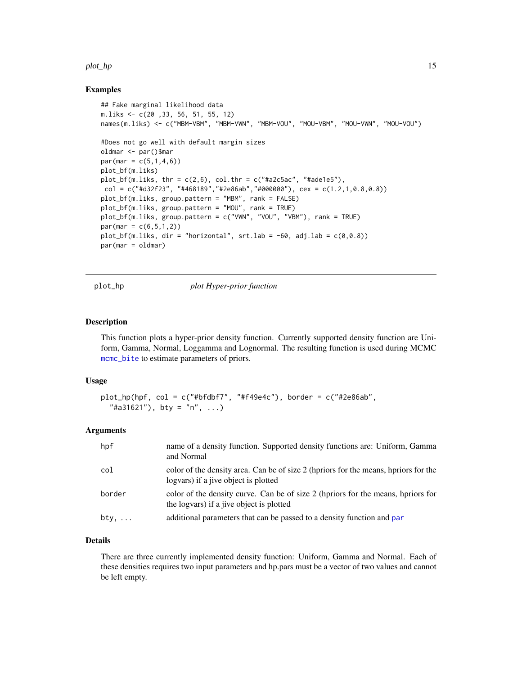#### <span id="page-14-0"></span>plot\_hp 15

#### Examples

```
## Fake marginal likelihood data
m.liks <- c(20 ,33, 56, 51, 55, 12)
names(m.liks) <- c("MBM-VBM", "MBM-VWN", "MBM-VOU", "MOU-VBM", "MOU-VWN", "MOU-VOU")
#Does not go well with default margin sizes
oldmar <- par()$mar
par(max = c(5,1,4,6))plot_bf(m.liks)
plot_bf(m.liks, thr = c(2,6), col.thr = c("#a2c5ac", "#ade1e5"),
col = c("#d32f23", "#468189", "#2e86ab", "#000000"), cex = c(1.2,1,0.8,0.8))plot_bf(m.liks, group.pattern = "MBM", rank = FALSE)
plot_bf(m.liks, group.pattern = "MOU", rank = TRUE)
plot_bf(m.liks, group.pattern = c("VWN", "VOU", "VBM"), rank = TRUE)
par(max = c(6, 5, 1, 2))plot_bf(m.liks, dir = "horizontal", srt.lab = -60, adj.lab = c(0, 0.8))
par(mar = oldmar)
```
plot\_hp *plot Hyper-prior function*

#### Description

This function plots a hyper-prior density function. Currently supported density function are Uniform, Gamma, Normal, Loggamma and Lognormal. The resulting function is used during MCMC [mcmc\\_bite](#page-11-1) to estimate parameters of priors.

#### Usage

```
plot_hp(hpf, col = c("#bfdbf7", "#f49e4c"), border = c("#2e86ab","#a31621", bty = "n", ...
```
#### Arguments

| hpf    | name of a density function. Supported density functions are: Uniform, Gamma<br>and Normal                                    |
|--------|------------------------------------------------------------------------------------------------------------------------------|
| col    | color of the density area. Can be of size 2 (hpriors for the means, hpriors for the<br>logvars) if a jive object is plotted  |
| border | color of the density curve. Can be of size 2 (hpriors for the means, hpriors for<br>the logvars) if a jive object is plotted |
| bty,   | additional parameters that can be passed to a density function and par                                                       |

#### Details

There are three currently implemented density function: Uniform, Gamma and Normal. Each of these densities requires two input parameters and hp.pars must be a vector of two values and cannot be left empty.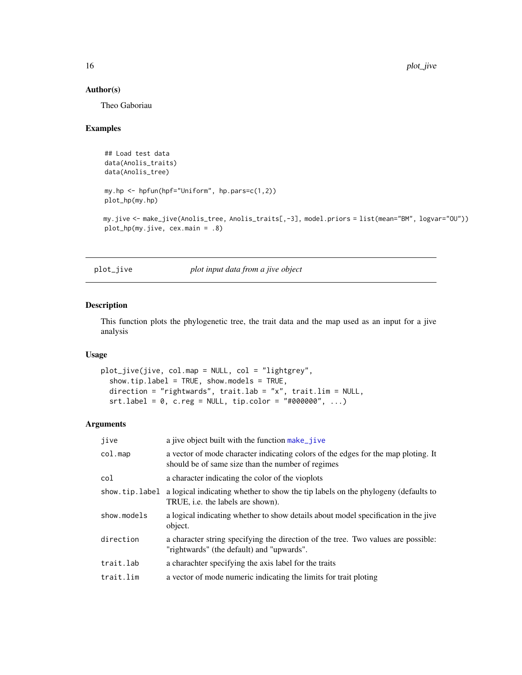#### Author(s)

Theo Gaboriau

#### Examples

```
## Load test data
data(Anolis_traits)
data(Anolis_tree)
my.hp <- hpfun(hpf="Uniform", hp.pars=c(1,2))
plot_hp(my.hp)
```

```
my.jive <- make_jive(Anolis_tree, Anolis_traits[,-3], model.priors = list(mean="BM", logvar="OU"))
plot_hp(my.jive, cex.main = .8)
```
plot\_jive *plot input data from a jive object*

#### Description

This function plots the phylogenetic tree, the trait data and the map used as an input for a jive analysis

#### Usage

```
plot_jive(jive, col.map = NULL, col = "lightgrey",
  show.tip.label = TRUE, show.models = TRUE,
 direction = "rightwards", trait.lab = "x", trait.lim = NULL,
  srt.label = 0, c.reg = NULL, tip.color = "#000000", ...
```
#### Arguments

| jive           | a jive object built with the function make_jive                                                                                        |
|----------------|----------------------------------------------------------------------------------------------------------------------------------------|
| $col$ .map     | a vector of mode character indicating colors of the edges for the map ploting. It<br>should be of same size than the number of regimes |
| col            | a character indicating the color of the vioplots                                                                                       |
| show.tip.label | a logical indicating whether to show the tip labels on the phylogeny (defaults to<br>TRUE, <i>i.e.</i> the labels are shown).          |
| show.models    | a logical indicating whether to show details about model specification in the jive<br>object.                                          |
| direction      | a character string specifying the direction of the tree. Two values are possible:<br>"rightwards" (the default) and "upwards".         |
| trait.lab      | a charachter specifying the axis label for the traits                                                                                  |
| trait.lim      | a vector of mode numeric indicating the limits for trait ploting                                                                       |

<span id="page-15-0"></span>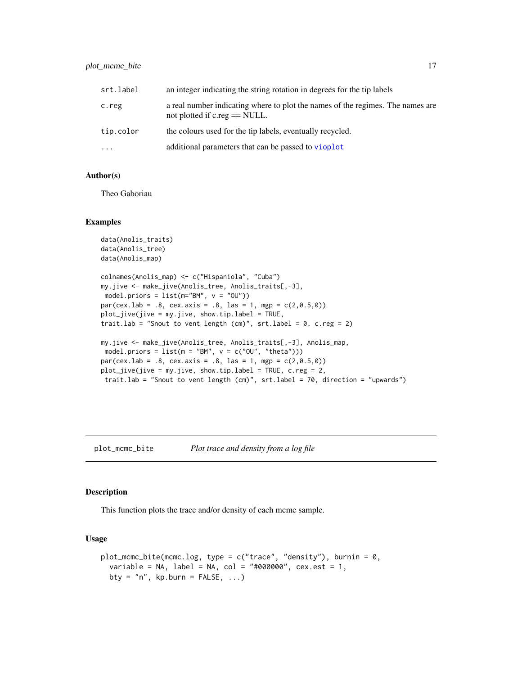#### <span id="page-16-0"></span>plot\_mcmc\_bite 17

| srt.label | an integer indicating the string rotation in degrees for the tip labels                                             |  |  |
|-----------|---------------------------------------------------------------------------------------------------------------------|--|--|
| c.reg     | a real number indicating where to plot the names of the regimes. The names are<br>not plotted if $c.read == NULL$ . |  |  |
| tip.color | the colours used for the tip labels, eventually recycled.                                                           |  |  |
| $\ddotsc$ | additional parameters that can be passed to vioplot                                                                 |  |  |

#### Author(s)

Theo Gaboriau

#### Examples

```
data(Anolis_traits)
data(Anolis_tree)
data(Anolis_map)
```

```
colnames(Anolis_map) <- c("Hispaniola", "Cuba")
my.jive <- make_jive(Anolis_tree, Anolis_traits[,-3],
model.priors = list(m="BM", v = "0U")par(cex.1ab = .8, cex.axis = .8, las = 1, mgp = c(2,0.5,0))plot_jive(jive = my.jive, show.tip.label = TRUE,
trait.lab = "Snout to vent length (cm)", srt.label = 0, c.reg = 2)
my.jive <- make_jive(Anolis_tree, Anolis_traits[,-3], Anolis_map,
model.priors = list(m = "BM", v = c("OU", "theta"))par(cex.1ab = .8, cex.axis = .8, las = 1, mgp = c(2,0.5,0))plot\_jive(jive = my.jive, show.tiprable1 = TRUE, c.reg = 2,trait.lab = "Snout to vent length (cm)", srt.label = 70, direction = "upwards")
```
#### plot\_mcmc\_bite *Plot trace and density from a log file*

#### Description

This function plots the trace and/or density of each mcmc sample.

#### Usage

```
plot_mcmc\_bite(mcmc.log, type = c("trace", "density"), burnin = 0,variable = NA, label = NA, col = "#000000", \text{cex.est} = 1,bty = "n", kp.burn = FALSE, ...)
```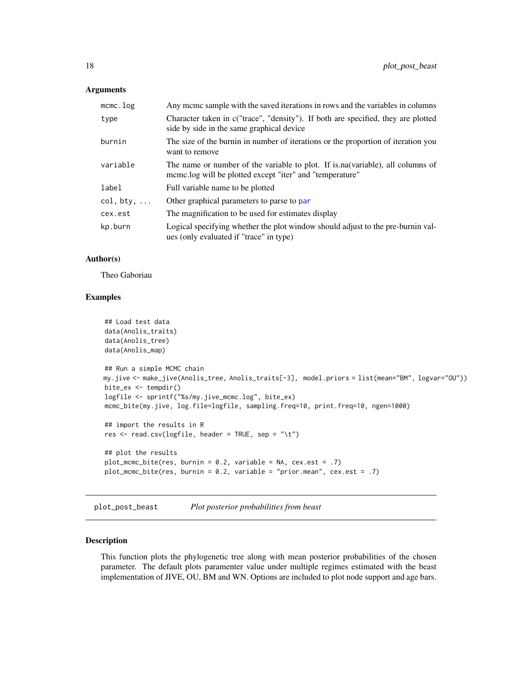#### <span id="page-17-0"></span>**Arguments**

| mcmc.log           | Any meme sample with the saved iterations in rows and the variables in columns                                                              |
|--------------------|---------------------------------------------------------------------------------------------------------------------------------------------|
| type               | Character taken in c("trace", "density"). If both are specified, they are plotted<br>side by side in the same graphical device              |
| burnin             | The size of the burnin in number of iterations or the proportion of iteration you<br>want to remove                                         |
| variable           | The name or number of the variable to plot. If is na (variable), all columns of<br>mcmc.log will be plotted except "iter" and "temperature" |
| label              | Full variable name to be plotted                                                                                                            |
| $col, bty, \ldots$ | Other graphical parameters to parse to par                                                                                                  |
| cex.est            | The magnification to be used for estimates display                                                                                          |
| kp.burn            | Logical specifying whether the plot window should adjust to the pre-burnin val-<br>ues (only evaluated if "trace" in type)                  |

#### Author(s)

Theo Gaboriau

#### Examples

```
## Load test data
data(Anolis_traits)
data(Anolis_tree)
data(Anolis_map)
## Run a simple MCMC chain
my.jive <- make_jive(Anolis_tree, Anolis_traits[-3], model.priors = list(mean="BM", logvar="OU"))
bite_ex <- tempdir()
logfile <- sprintf("%s/my.jive_mcmc.log", bite_ex)
mcmc_bite(my.jive, log.file=logfile, sampling.freq=10, print.freq=10, ngen=1000)
## import the results in R
res \le read.csv(logfile, header = TRUE, sep = "\t")
## plot the results
plot_mcmc_bite(res, burnin = 0.2, variable = NA, cex.est = .7)
plot_mcmc_bite(res, burnin = 0.2, variable = "prior.mean", cex.est = .7)
```
plot\_post\_beast *Plot posterior probabilities from beast*

#### Description

This function plots the phylogenetic tree along with mean posterior probabilities of the chosen parameter. The default plots paramenter value under multiple regimes estimated with the beast implementation of JIVE, OU, BM and WN. Options are included to plot node support and age bars.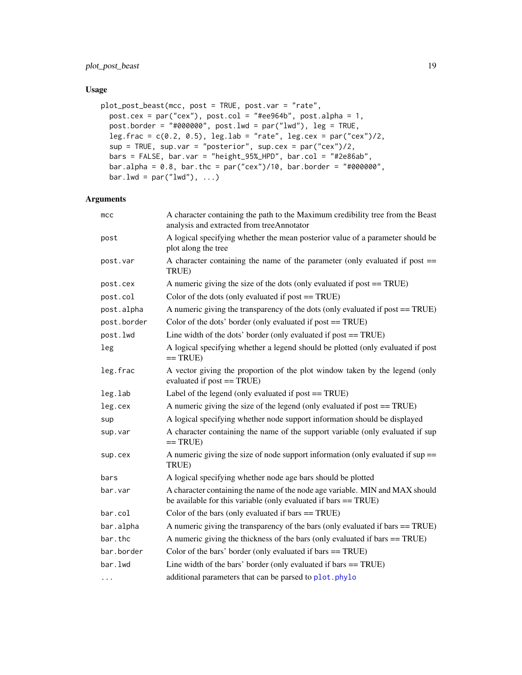#### <span id="page-18-0"></span>Usage

```
plot_post_beast(mcc, post = TRUE, post.var = "rate",
 post.cex = par("cex"), post.col = "#ee964b", post.alpha = 1,
 post.border = "#000000", post.lwd = par("lwd"), leg = TRUE,
  leg.frac = c(0.2, 0.5), leg.lab = "rate", leg.cex = par("cex")/2,sup = TRUE, sup.var = "posterior", sup.cex = par("cex")/2,
 bars = FALSE, bar.var = "height_95%_HPD", bar.col = "#2e86ab",
 bar.alpha = 0.8, bar.thc = par("cex")/10, bar.border = "#000000",bar.lwd = par('lwd'), ...)
```
#### Arguments

| A character containing the path to the Maximum credibility tree from the Beast<br>analysis and extracted from treeAnnotator                       |
|---------------------------------------------------------------------------------------------------------------------------------------------------|
| A logical specifying whether the mean posterior value of a parameter should be<br>plot along the tree                                             |
| A character containing the name of the parameter (only evaluated if post $==$<br>TRUE)                                                            |
| A numeric giving the size of the dots (only evaluated if post == TRUE)                                                                            |
| Color of the dots (only evaluated if post $==$ TRUE)                                                                                              |
| A numeric giving the transparency of the dots (only evaluated if post == TRUE)                                                                    |
| Color of the dots' border (only evaluated if post == TRUE)                                                                                        |
| Line width of the dots' border (only evaluated if post $==$ TRUE)                                                                                 |
| A logical specifying whether a legend should be plotted (only evaluated if post<br>$==TRUE)$                                                      |
| A vector giving the proportion of the plot window taken by the legend (only<br>evaluated if post == TRUE)                                         |
| Label of the legend (only evaluated if post $==$ TRUE)                                                                                            |
| A numeric giving the size of the legend (only evaluated if post == TRUE)                                                                          |
| A logical specifying whether node support information should be displayed                                                                         |
| A character containing the name of the support variable (only evaluated if sup<br>$==$ TRUE)                                                      |
| A numeric giving the size of node support information (only evaluated if $sup =$<br>TRUE)                                                         |
| A logical specifying whether node age bars should be plotted                                                                                      |
| A character containing the name of the node age variable. MIN and MAX should<br>be available for this variable (only evaluated if bars $==$ TRUE) |
| Color of the bars (only evaluated if bars $==$ TRUE)                                                                                              |
| A numeric giving the transparency of the bars (only evaluated if bars == TRUE)                                                                    |
| A numeric giving the thickness of the bars (only evaluated if bars == TRUE)                                                                       |
| Color of the bars' border (only evaluated if bars == TRUE)                                                                                        |
| Line width of the bars' border (only evaluated if bars $==$ TRUE)                                                                                 |
| additional parameters that can be parsed to plot.phylo                                                                                            |
|                                                                                                                                                   |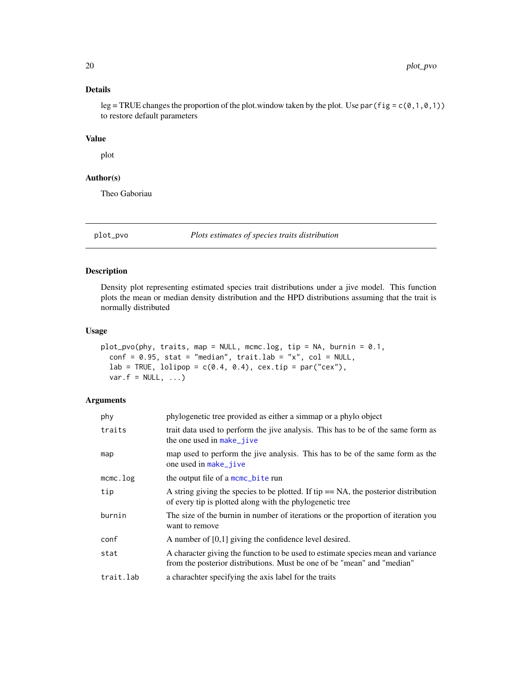#### <span id="page-19-0"></span>Details

leg = TRUE changes the proportion of the plot. window taken by the plot. Use par (fig =  $c(0,1,0,1)$ ) to restore default parameters

#### Value

plot

#### Author(s)

Theo Gaboriau

plot\_pvo *Plots estimates of species traits distribution*

#### Description

Density plot representing estimated species trait distributions under a jive model. This function plots the mean or median density distribution and the HPD distributions assuming that the trait is normally distributed

#### Usage

```
plot_pvo(phy, traits, map = NULL, mcmc.log, tip = NA, burnin = 0.1,
 conf = 0.95, stat = "median", trait.lab = "x", col = NULL,
  lab = TRUE, lolipop = c(0.4, 0.4), cex.tip = par("cex"),var.f = NULL, ...
```
#### Arguments

| phy         | phylogenetic tree provided as either a simmap or a phylo object                                                                                             |
|-------------|-------------------------------------------------------------------------------------------------------------------------------------------------------------|
| traits      | trait data used to perform the jive analysis. This has to be of the same form as<br>the one used in make_jive                                               |
| map         | map used to perform the jive analysis. This has to be of the same form as the<br>one used in make_jive                                                      |
| $m$ cmc.log | the output file of a mcmc_bite run                                                                                                                          |
| tip         | A string giving the species to be plotted. If tip $== NA$ , the posterior distribution<br>of every tip is plotted along with the phylogenetic tree          |
| burnin      | The size of the burnin in number of iterations or the proportion of iteration you<br>want to remove                                                         |
| conf        | A number of $[0,1]$ giving the confidence level desired.                                                                                                    |
| stat        | A character giving the function to be used to estimate species mean and variance<br>from the posterior distributions. Must be one of be "mean" and "median" |
| trait.lab   | a charachter specifying the axis label for the traits                                                                                                       |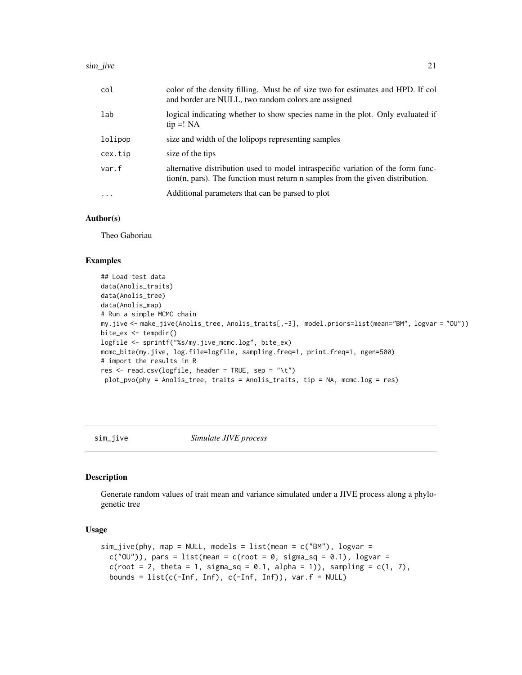<span id="page-20-0"></span>

| col      | color of the density filling. Must be of size two for estimates and HPD. If col<br>and border are NULL, two random colors are assigned                                    |
|----------|---------------------------------------------------------------------------------------------------------------------------------------------------------------------------|
| lab      | logical indicating whether to show species name in the plot. Only evaluated if<br>$tip =! NA$                                                                             |
| lolipop  | size and width of the lolipops representing samples                                                                                                                       |
| cex.tip  | size of the tips                                                                                                                                                          |
| var.f    | alternative distribution used to model intraspecific variation of the form func-<br>$\chi$ tion(n, pars). The function must return n samples from the given distribution. |
| $\ddots$ | Additional parameters that can be parsed to plot                                                                                                                          |

#### Author(s)

Theo Gaboriau

#### Examples

```
## Load test data
data(Anolis_traits)
data(Anolis_tree)
data(Anolis_map)
# Run a simple MCMC chain
my.jive <- make_jive(Anolis_tree, Anolis_traits[,-3], model.priors=list(mean="BM", logvar = "OU"))
bite_ex <- tempdir()
logfile <- sprintf("%s/my.jive_mcmc.log", bite_ex)
mcmc_bite(my.jive, log.file=logfile, sampling.freq=1, print.freq=1, ngen=500)
# import the results in R
res <- read.csv(logfile, header = TRUE, sep = "\t")
plot_pvo(phy = Anolis_tree, traits = Anolis_traits, tip = NA, mcmc.log = res)
```
sim\_jive *Simulate JIVE process*

#### Description

Generate random values of trait mean and variance simulated under a JIVE process along a phylogenetic tree

#### Usage

```
sim_jjive(phy, map = NULL, models = list(mean = c("BM"), logvar =
 c("0U")), pars = list(mean = c(root = 0, sigma_sq = 0.1), logvar =
 c(root = 2, theta = 1, sigma_sq = 0.1, alpha = 1)), sampling = c(1, 7),bounds = list(c(-Inf, Inf), c(-Inf, Inf)), var.f = NULL)
```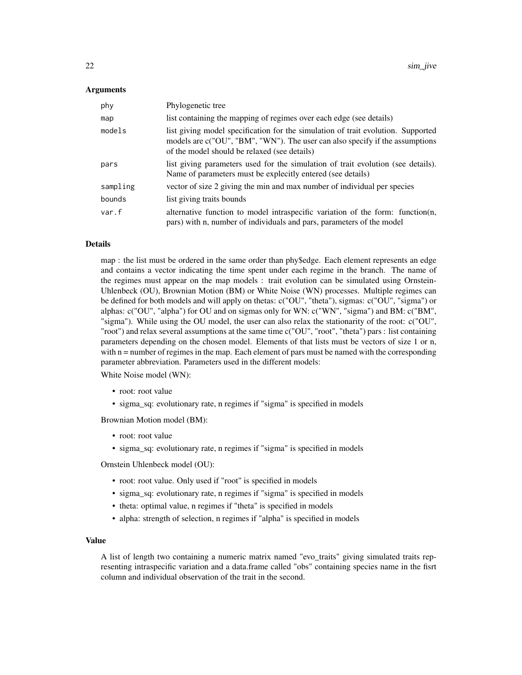#### Arguments

| phy      | Phylogenetic tree                                                                                                                                                                                                |
|----------|------------------------------------------------------------------------------------------------------------------------------------------------------------------------------------------------------------------|
| map      | list containing the mapping of regimes over each edge (see details)                                                                                                                                              |
| models   | list giving model specification for the simulation of trait evolution. Supported<br>models are c("OU", "BM", "WN"). The user can also specify if the assumptions<br>of the model should be relaxed (see details) |
| pars     | list giving parameters used for the simulation of trait evolution (see details).<br>Name of parameters must be explecitly entered (see details)                                                                  |
| sampling | vector of size 2 giving the min and max number of individual per species                                                                                                                                         |
| bounds   | list giving traits bounds                                                                                                                                                                                        |
| var.f    | alternative function to model intraspecific variation of the form: function(n,<br>pars) with n, number of individuals and pars, parameters of the model                                                          |

#### Details

map : the list must be ordered in the same order than phy\$edge. Each element represents an edge and contains a vector indicating the time spent under each regime in the branch. The name of the regimes must appear on the map models : trait evolution can be simulated using Ornstein-Uhlenbeck (OU), Brownian Motion (BM) or White Noise (WN) processes. Multiple regimes can be defined for both models and will apply on thetas: c("OU", "theta"), sigmas: c("OU", "sigma") or alphas: c("OU", "alpha") for OU and on sigmas only for WN: c("WN", "sigma") and BM: c("BM", "sigma"). While using the OU model, the user can also relax the stationarity of the root: c("OU", "root") and relax several assumptions at the same time c("OU", "root", "theta") pars : list containing parameters depending on the chosen model. Elements of that lists must be vectors of size 1 or n, with  $n =$  number of regimes in the map. Each element of pars must be named with the corresponding parameter abbreviation. Parameters used in the different models:

White Noise model (WN):

- root: root value
- sigma sq: evolutionary rate, n regimes if "sigma" is specified in models

Brownian Motion model (BM):

- root: root value
- sigma\_sq: evolutionary rate, n regimes if "sigma" is specified in models

Ornstein Uhlenbeck model (OU):

- root: root value. Only used if "root" is specified in models
- sigma\_sq: evolutionary rate, n regimes if "sigma" is specified in models
- theta: optimal value, n regimes if "theta" is specified in models
- alpha: strength of selection, n regimes if "alpha" is specified in models

#### Value

A list of length two containing a numeric matrix named "evo\_traits" giving simulated traits representing intraspecific variation and a data.frame called "obs" containing species name in the fisrt column and individual observation of the trait in the second.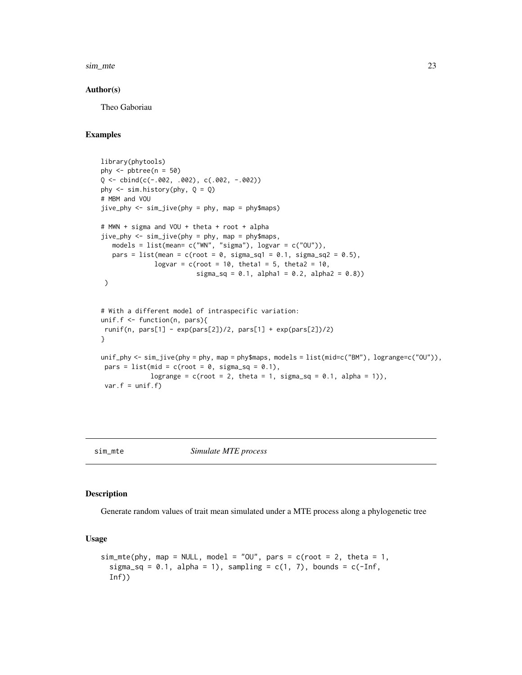<span id="page-22-0"></span>sim\_mte 23

#### Author(s)

Theo Gaboriau

#### Examples

```
library(phytools)
phy \le- pbtree(n = 50)
Q \le - \text{cbind}(c(-.002, .002), c(.002, -.002))phy \le sim.history(phy, Q = Q)
# MBM and VOU
jive_phy <- sim_jive(phy = phy, map = phy$maps)
# MWN + sigma and VOU + theta + root + alpha
jive\_phy \le -sim\_jive(phy = phy, map = phy$maps,models = list(mean= c("WN", "sigma"), logvar = c("OU")),
   pars = list(mean = c(root = 0, sigma_sq1 = 0.1, sigma_sq2 = 0.5),
              logvar = c(root = 10, theta1 = 5, theta2 = 10,
                          signa_sq = 0.1, alpha1 = 0.2, alpha2 = 0.8)
 )
# With a different model of intraspecific variation:
unif.f <- function(n, pars){
runif(n, pars[1] - exp(pars[2])/2, pars[1] + exp(pars[2])/2)}
unif_phy <- sim_jive(phy = phy, map = phy$maps, models = list(mid=c("BM"), logrange=c("OU")),
pars = list(mid = c(root = 0, sigma_sq = 0.1),
             logrange = c(root = 2, theta = 1, sigma_sq = 0.1, alpha = 1)),var.f = unif.f)
```
sim\_mte *Simulate MTE process*

#### Description

Generate random values of trait mean simulated under a MTE process along a phylogenetic tree

#### Usage

```
sim\_mte(phy, map = NULL, model = "OU", pars = c(root = 2, theta = 1,
  sigma_sq = 0.1, alpha = 1), sampling = c(1, 7), bounds = c(-Inf,Inf))
```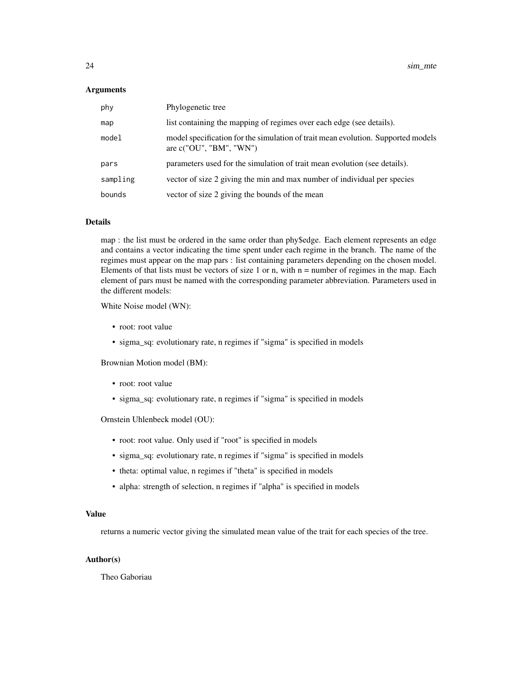#### **Arguments**

| phy      | Phylogenetic tree                                                                                             |
|----------|---------------------------------------------------------------------------------------------------------------|
| map      | list containing the mapping of regimes over each edge (see details).                                          |
| model    | model specification for the simulation of trait mean evolution. Supported models<br>are $c("OU", "BM", "WN")$ |
| pars     | parameters used for the simulation of trait mean evolution (see details).                                     |
| sampling | vector of size 2 giving the min and max number of individual per species                                      |
| bounds   | vector of size 2 giving the bounds of the mean                                                                |

#### Details

map : the list must be ordered in the same order than phy\$edge. Each element represents an edge and contains a vector indicating the time spent under each regime in the branch. The name of the regimes must appear on the map pars : list containing parameters depending on the chosen model. Elements of that lists must be vectors of size 1 or n, with  $n =$  number of regimes in the map. Each element of pars must be named with the corresponding parameter abbreviation. Parameters used in the different models:

White Noise model (WN):

- root: root value
- sigma\_sq: evolutionary rate, n regimes if "sigma" is specified in models

Brownian Motion model (BM):

- root: root value
- sigma\_sq: evolutionary rate, n regimes if "sigma" is specified in models

Ornstein Uhlenbeck model (OU):

- root: root value. Only used if "root" is specified in models
- sigma\_sq: evolutionary rate, n regimes if "sigma" is specified in models
- theta: optimal value, n regimes if "theta" is specified in models
- alpha: strength of selection, n regimes if "alpha" is specified in models

#### Value

returns a numeric vector giving the simulated mean value of the trait for each species of the tree.

#### Author(s)

Theo Gaboriau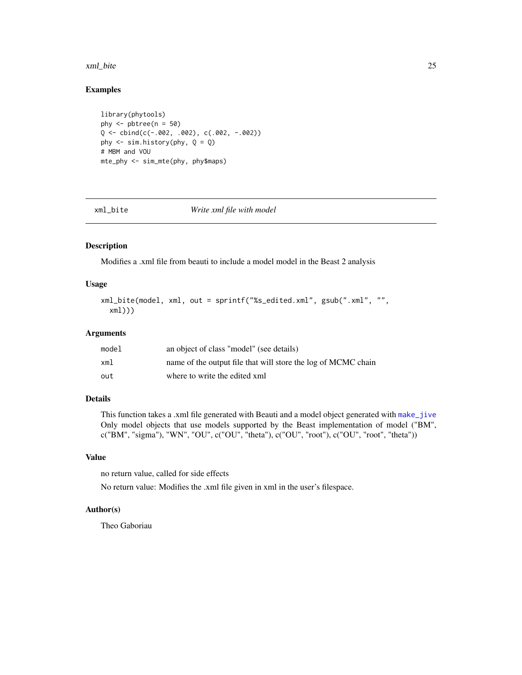#### <span id="page-24-0"></span>xml\_bite 25

#### Examples

```
library(phytools)
phy \le- pbtree(n = 50)
Q <- cbind(c(-.002, .002), c(.002, -.002))
phy \leq sim.history(phy, Q = Q)
# MBM and VOU
mte_phy <- sim_mte(phy, phy$maps)
```
<span id="page-24-1"></span>xml\_bite *Write xml file with model*

#### Description

Modifies a .xml file from beauti to include a model model in the Beast 2 analysis

#### Usage

```
xml_bite(model, xml, out = sprintf("%s_edited.xml", gsub(".xml", "",
  xml)))
```
#### Arguments

| model | an object of class "model" (see details)                      |
|-------|---------------------------------------------------------------|
| xml   | name of the output file that will store the log of MCMC chain |
| out   | where to write the edited xml                                 |

#### Details

This function takes a .xml file generated with Beauti and a model object generated with [make\\_jive](#page-7-1) Only model objects that use models supported by the Beast implementation of model ("BM", c("BM", "sigma"), "WN", "OU", c("OU", "theta"), c("OU", "root"), c("OU", "root", "theta"))

#### Value

no return value, called for side effects

No return value: Modifies the .xml file given in xml in the user's filespace.

#### Author(s)

Theo Gaboriau